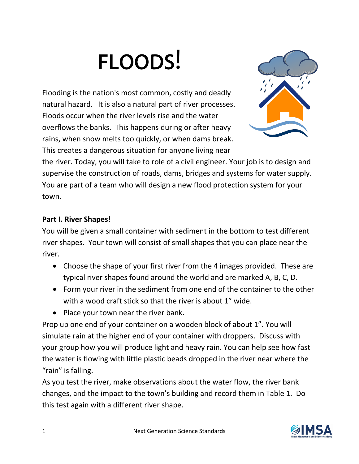# FLOODS!

Flooding is the nation's most common, costly and deadly natural hazard. It is also a natural part of river processes. Floods occur when the river levels rise and the water overflows the banks. This happens during or after heavy rains, when snow melts too quickly, or when dams break. This creates a dangerous situation for anyone living near



the river. Today, you will take to role of a civil engineer. Your job is to design and supervise the construction of roads, dams, bridges and systems for water supply. You are part of a team who will design a new flood protection system for your town.

## **Part I. River Shapes!**

You will be given a small container with sediment in the bottom to test different river shapes. Your town will consist of small shapes that you can place near the river.

- Choose the shape of your first river from the 4 images provided. These are typical river shapes found around the world and are marked A, B, C, D.
- Form your river in the sediment from one end of the container to the other with a wood craft stick so that the river is about 1" wide.
- Place your town near the river bank.

Prop up one end of your container on a wooden block of about 1". You will simulate rain at the higher end of your container with droppers. Discuss with your group how you will produce light and heavy rain. You can help see how fast the water is flowing with little plastic beads dropped in the river near where the "rain" is falling.

As you test the river, make observations about the water flow, the river bank changes, and the impact to the town's building and record them in Table 1. Do this test again with a different river shape.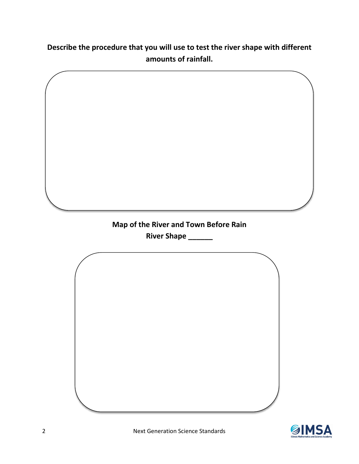**Describe the procedure that you will use to test the river shape with different amounts of rainfall.**



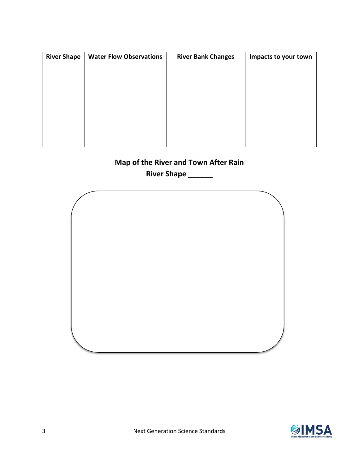| <b>River Shape</b> | <b>Water Flow Observations</b> | <b>River Bank Changes</b> | Impacts to your town |
|--------------------|--------------------------------|---------------------------|----------------------|
|                    |                                |                           |                      |
|                    |                                |                           |                      |
|                    |                                |                           |                      |
|                    |                                |                           |                      |
|                    |                                |                           |                      |
|                    |                                |                           |                      |
|                    |                                |                           |                      |
|                    |                                |                           |                      |
|                    |                                |                           |                      |

# **Map of the River and Town After Rain**

**River Shape \_\_\_\_\_\_**



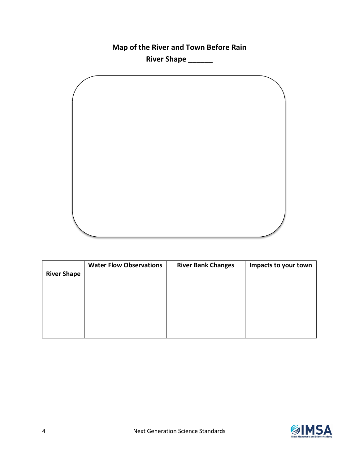**Map of the River and Town Before Rain**

**River Shape \_\_\_\_\_\_**



|                    | <b>Water Flow Observations</b> | <b>River Bank Changes</b> | Impacts to your town |
|--------------------|--------------------------------|---------------------------|----------------------|
| <b>River Shape</b> |                                |                           |                      |
|                    |                                |                           |                      |
|                    |                                |                           |                      |
|                    |                                |                           |                      |
|                    |                                |                           |                      |
|                    |                                |                           |                      |
|                    |                                |                           |                      |
|                    |                                |                           |                      |

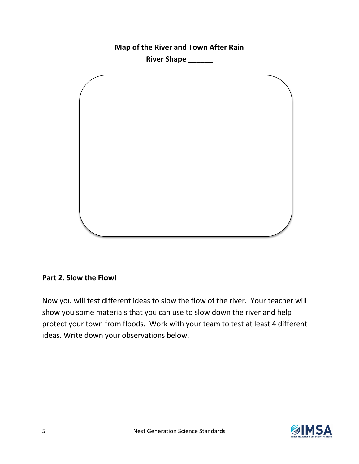**Map of the River and Town After Rain River Shape \_\_\_\_\_\_**

#### **Part 2. Slow the Flow!**

Now you will test different ideas to slow the flow of the river. Your teacher will show you some materials that you can use to slow down the river and help protect your town from floods. Work with your team to test at least 4 different ideas. Write down your observations below.

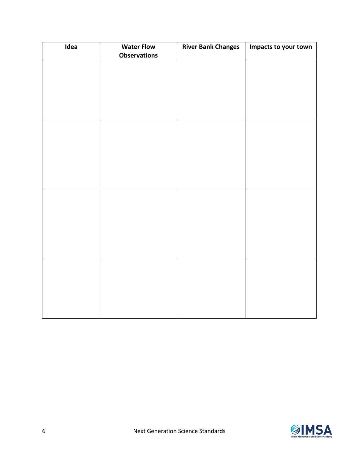| Idea | <b>Water Flow</b><br><b>Observations</b> | <b>River Bank Changes</b> | Impacts to your town |
|------|------------------------------------------|---------------------------|----------------------|
|      |                                          |                           |                      |
|      |                                          |                           |                      |
|      |                                          |                           |                      |
|      |                                          |                           |                      |
|      |                                          |                           |                      |
|      |                                          |                           |                      |
|      |                                          |                           |                      |
|      |                                          |                           |                      |
|      |                                          |                           |                      |
|      |                                          |                           |                      |
|      |                                          |                           |                      |
|      |                                          |                           |                      |
|      |                                          |                           |                      |
|      |                                          |                           |                      |
|      |                                          |                           |                      |
|      |                                          |                           |                      |

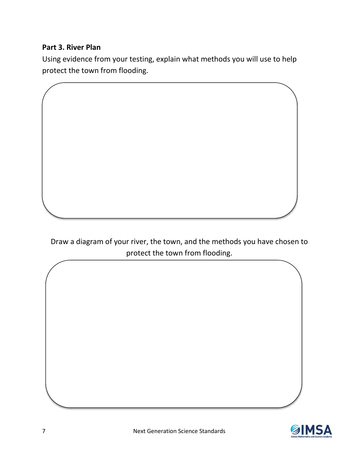### **Part 3. River Plan**

Using evidence from your testing, explain what methods you will use to help protect the town from flooding.

Draw a diagram of your river, the town, and the methods you have chosen to protect the town from flooding.